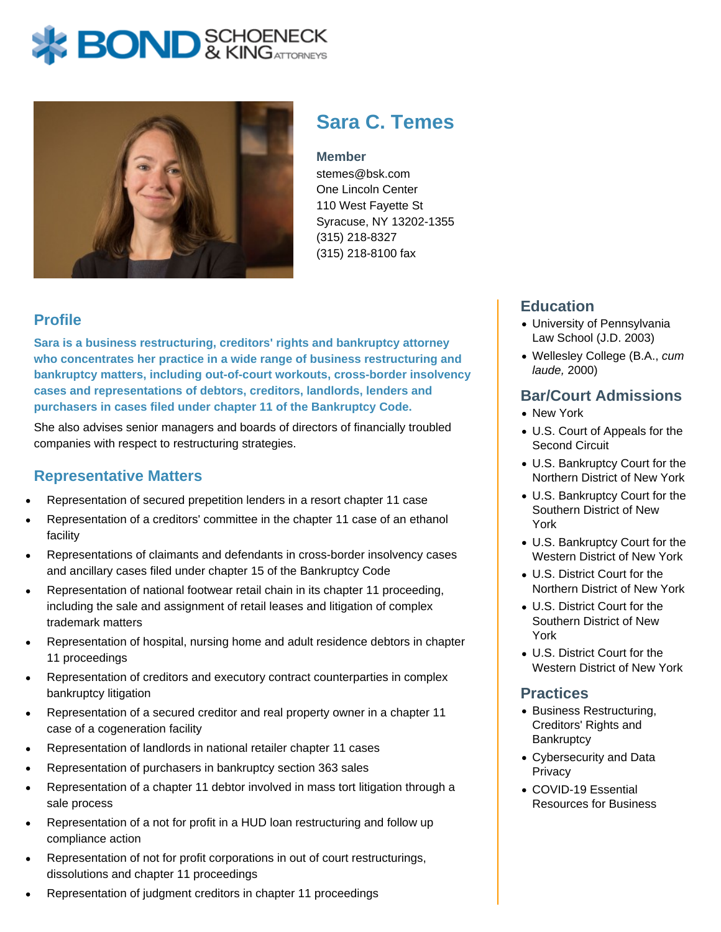# **X BOND** & KINGATTORNECK



## **Sara C. Temes**

#### **Member**

stemes@bsk.com One Lincoln Center 110 West Fayette St Syracuse, NY 13202-1355 (315) 218-8327 (315) 218-8100 fax

#### **Profile**

**Sara is a business restructuring, creditors' rights and bankruptcy attorney who concentrates her practice in a wide range of business restructuring and bankruptcy matters, including out-of-court workouts, cross-border insolvency cases and representations of debtors, creditors, landlords, lenders and purchasers in cases filed under chapter 11 of the Bankruptcy Code.**

She also advises senior managers and boards of directors of financially troubled companies with respect to restructuring strategies.

#### **Representative Matters**

- Representation of secured prepetition lenders in a resort chapter 11 case
- Representation of a creditors' committee in the chapter 11 case of an ethanol facility
- Representations of claimants and defendants in cross-border insolvency cases and ancillary cases filed under chapter 15 of the Bankruptcy Code
- Representation of national footwear retail chain in its chapter 11 proceeding, including the sale and assignment of retail leases and litigation of complex trademark matters
- Representation of hospital, nursing home and adult residence debtors in chapter 11 proceedings
- Representation of creditors and executory contract counterparties in complex bankruptcy litigation
- Representation of a secured creditor and real property owner in a chapter 11 case of a cogeneration facility
- Representation of landlords in national retailer chapter 11 cases
- Representation of purchasers in bankruptcy section 363 sales
- Representation of a chapter 11 debtor involved in mass tort litigation through a sale process
- Representation of a not for profit in a HUD loan restructuring and follow up compliance action
- Representation of not for profit corporations in out of court restructurings, dissolutions and chapter 11 proceedings
- Representation of judgment creditors in chapter 11 proceedings

#### **Education**

- University of Pennsylvania Law School (J.D. 2003)
- Wellesley College (B.A., cum laude, 2000)

#### **Bar/Court Admissions**

- New York
- U.S. Court of Appeals for the Second Circuit
- U.S. Bankruptcy Court for the Northern District of New York
- U.S. Bankruptcy Court for the Southern District of New York
- U.S. Bankruptcy Court for the Western District of New York
- U.S. District Court for the Northern District of New York
- U.S. District Court for the Southern District of New York
- U.S. District Court for the Western District of New York

#### **Practices**

- Business Restructuring, Creditors' Rights and **Bankruptcy**
- Cybersecurity and Data **Privacy**
- COVID-19 Essential Resources for Business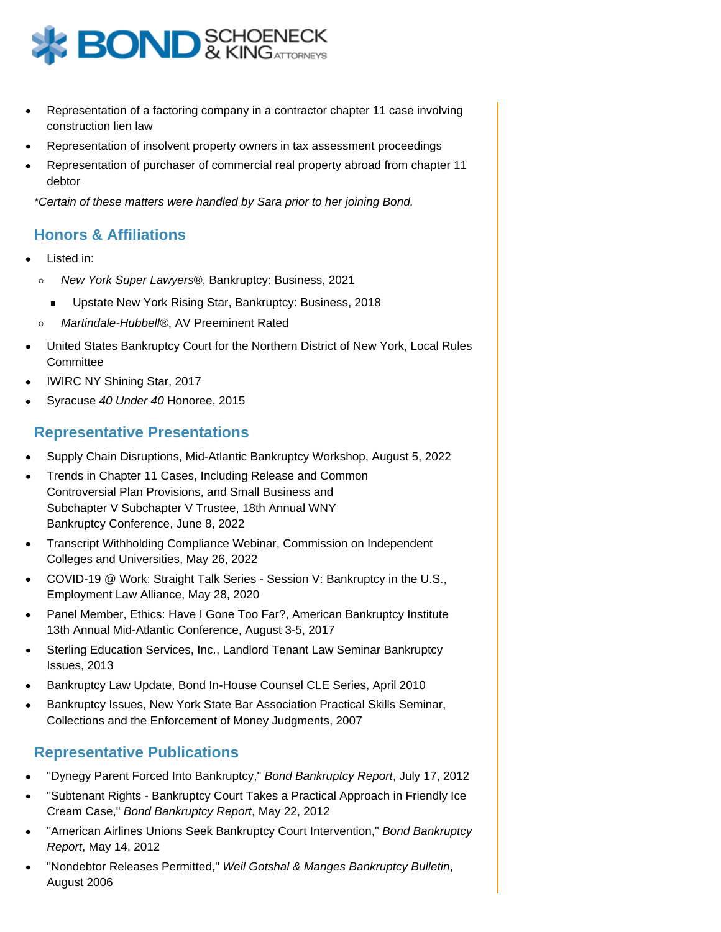

- Representation of a factoring company in a contractor chapter 11 case involving construction lien law
- Representation of insolvent property owners in tax assessment proceedings
- Representation of purchaser of commercial real property abroad from chapter 11 debtor

\*Certain of these matters were handled by Sara prior to her joining Bond.

#### **Honors & Affiliations**

- Listed in:
	- New York Super Lawyers®, Bankruptcy: Business, 2021  $\circ$ 
		- Upstate New York Rising Star, Bankruptcy: Business, 2018  $\blacksquare$
	- Martindale-Hubbell®, AV Preeminent Rated  $\circ$
- United States Bankruptcy Court for the Northern District of New York, Local Rules **Committee**
- IWIRC NY Shining Star, 2017
- Syracuse 40 Under 40 Honoree, 2015

#### **Representative Presentations**

- Supply Chain Disruptions, Mid-Atlantic Bankruptcy Workshop, August 5, 2022
- Trends in Chapter 11 Cases, Including Release and Common Controversial Plan Provisions, and Small Business and Subchapter V Subchapter V Trustee, 18th Annual WNY Bankruptcy Conference, June 8, 2022
- Transcript Withholding Compliance Webinar, Commission on Independent Colleges and Universities, May 26, 2022
- COVID-19 @ Work: Straight Talk Series Session V: Bankruptcy in the U.S., Employment Law Alliance, May 28, 2020
- Panel Member, Ethics: Have I Gone Too Far?, American Bankruptcy Institute 13th Annual Mid-Atlantic Conference, August 3-5, 2017
- Sterling Education Services, Inc., Landlord Tenant Law Seminar Bankruptcy Issues, 2013
- Bankruptcy Law Update, Bond In-House Counsel CLE Series, April 2010
- Bankruptcy Issues, New York State Bar Association Practical Skills Seminar, Collections and the Enforcement of Money Judgments, 2007

#### **Representative Publications**

- "Dynegy Parent Forced Into Bankruptcy," Bond Bankruptcy Report, July 17, 2012
- "Subtenant Rights Bankruptcy Court Takes a Practical Approach in Friendly Ice Cream Case," Bond Bankruptcy Report, May 22, 2012
- "American Airlines Unions Seek Bankruptcy Court Intervention," Bond Bankruptcy Report, May 14, 2012
- "Nondebtor Releases Permitted," Weil Gotshal & Manges Bankruptcy Bulletin, August 2006